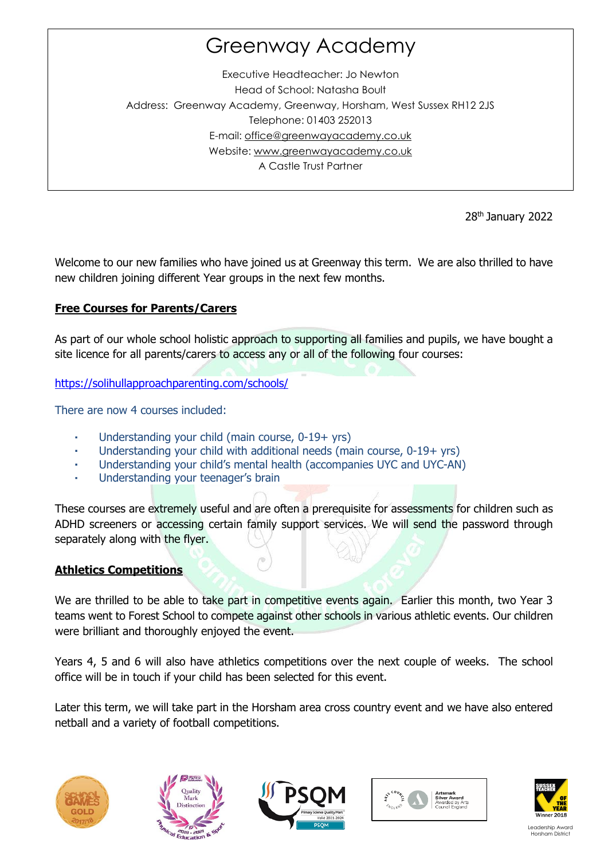# Greenway Academy

Executive Headteacher: Jo Newton Head of School: Natasha Boult Address: Greenway Academy, Greenway, Horsham, West Sussex RH12 2JS Telephone: 01403 252013 E-mail: [office@greenwayacademy.co.uk](mailto:office@greenwayacademy.co.uk)  Website: [www.greenwayacademy.co.uk](http://www.greenwayacademy.co.uk/) A Castle Trust Partner

28th January 2022

Welcome to our new families who have joined us at Greenway this term. We are also thrilled to have new children joining different Year groups in the next few months.

# **Free Courses for Parents/Carers**

As part of our whole school holistic approach to supporting all families and pupils, we have bought a site licence for all parents/carers to access any or all of the following four courses:

<https://solihullapproachparenting.com/schools/>

There are now 4 courses included:

- Understanding your child (main course, 0-19+ yrs)
- Understanding your child with additional needs (main course, 0-19+ yrs)
- Understanding your child's mental health (accompanies UYC and UYC-AN)
- Understanding your teenager's brain

These courses are extremely useful and are often a prerequisite for assessments for children such as ADHD screeners or accessing certain family support services. We will send the password through separately along with the flyer.

# **Athletics Competitions**

We are thrilled to be able to take part in competitive events again. Earlier this month, two Year 3 teams went to Forest School to compete against other schools in various athletic events. Our children were brilliant and thoroughly enjoyed the event.

Years 4, 5 and 6 will also have athletics competitions over the next couple of weeks. The school office will be in touch if your child has been selected for this event.

Later this term, we will take part in the Horsham area cross country event and we have also entered netball and a variety of football competitions.









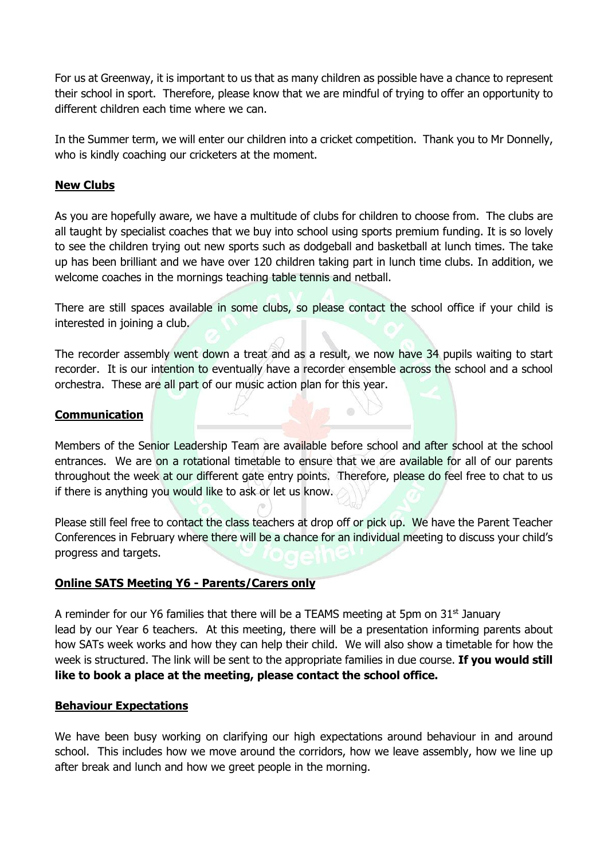For us at Greenway, it is important to us that as many children as possible have a chance to represent their school in sport. Therefore, please know that we are mindful of trying to offer an opportunity to different children each time where we can.

In the Summer term, we will enter our children into a cricket competition. Thank you to Mr Donnelly, who is kindly coaching our cricketers at the moment.

## **New Clubs**

As you are hopefully aware, we have a multitude of clubs for children to choose from. The clubs are all taught by specialist coaches that we buy into school using sports premium funding. It is so lovely to see the children trying out new sports such as dodgeball and basketball at lunch times. The take up has been brilliant and we have over 120 children taking part in lunch time clubs. In addition, we welcome coaches in the mornings teaching table tennis and netball.

There are still spaces available in some clubs, so please contact the school office if your child is interested in joining a club.

The recorder assembly went down a treat and as a result, we now have 34 pupils waiting to start recorder. It is our intention to eventually have a recorder ensemble across the school and a school orchestra. These are all part of our music action plan for this year.

## **Communication**

Members of the Senior Leadership Team are available before school and after school at the school entrances. We are on a rotational timetable to ensure that we are available for all of our parents throughout the week at our different gate entry points. Therefore, please do feel free to chat to us if there is anything you would like to ask or let us know.

Please still feel free to contact the class teachers at drop off or pick up. We have the Parent Teacher Conferences in February where there will be a chance for an individual meeting to discuss your child's progress and targets.

#### **Online SATS Meeting Y6 - Parents/Carers only**

A reminder for our Y6 families that there will be a TEAMS meeting at 5pm on  $31<sup>st</sup>$  January lead by our Year 6 teachers. At this meeting, there will be a presentation informing parents about how SATs week works and how they can help their child. We will also show a timetable for how the week is structured. The link will be sent to the appropriate families in due course. **If you would still like to book a place at the meeting, please contact the school office.**

#### **Behaviour Expectations**

We have been busy working on clarifying our high expectations around behaviour in and around school. This includes how we move around the corridors, how we leave assembly, how we line up after break and lunch and how we greet people in the morning.